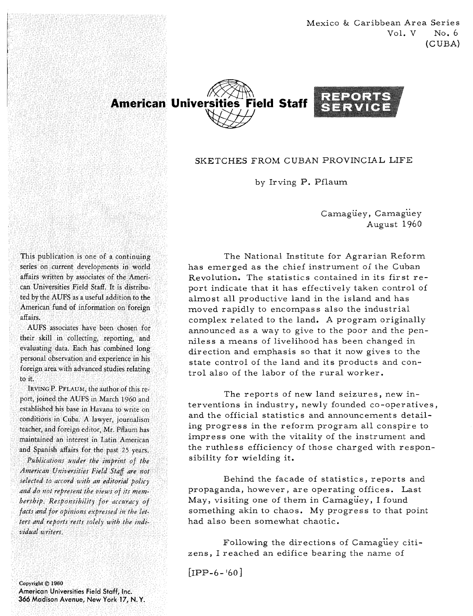Mexico & Caribbean Area Series  $Vol. V$  No. 6 (CUBA)



## SKETCHES FROM CUBAN PROVINCIAL LIFE

by Irving P. Pflaum

Camaguey, Camaguey August 1960

This publication is one of a continuing series on current developments in world affairs written by associates of the American Universities Field Staff. It is distributed by the AUFS as a useful addition to the American fund of information on foreign affairs.

AUFS associates have been chosen for their skill in collecting, reporting, and evaluating data. Each has combined long personal observation and experience in his foreign area with advanced studies relating to it.

IRVING P. PFLAUM, the author of this report, joined the AUFS in March 1960 and established his base in Havana to write on conditions in Cuba. A lawyer, journalism teacher, and foreign editor, Mr. Pflaum has maintained an interest in Latin American and Spanish affairs for the past 25 years.

Publications under the imprint of the American Universities Field Staff are not selected to accord with an editorial policy and do not represent the views of its membership. Responsibility for accuracy of facts and for opinions expressed in the letters and reports rests solely with the individual writers.

Copyright © 1960 American Universities Field Staff, Inc. 366 Madison Avenue, New York 17, N.Y.

The National Institute for Agrarian Reform has emerged as the chief instrument oi the Cuban Revolution. The statistics contained in its first report indicate that it has effectively taken control of almost all productive land in the island and has moved rapidly to encompass also the industrial complex related to the land. A program originally announced as a way to give to the poor and the penniless a means of livelihood has been changed in direction and emphasis so that it now gives to the state control of the land and its products and control also of the labor of the rural worker.

The reports of new land seizures, new interventions in industry, newly founded co-operatives , and the official statistics and announcements detailing progress in the reform program all conspire to impress one with the vitality of the instrument and the ruthless efficiency of those charged with responsibility for wielding it.

Behind the facade of statistics, reports and propaganda, however, are operating offices. Last May, visiting one of them in Camaguey, I found something akin to chaos. My progress to that point had also been somewhat chaotic.

Following the directions of Camaguey citizens, I reached an edifice bearing the name of

 $[IPP-6-160]$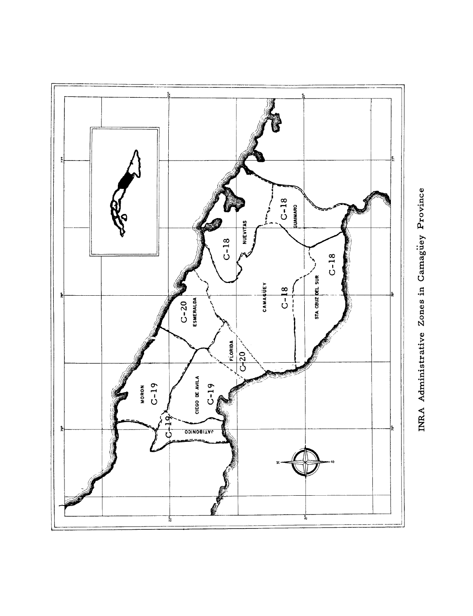

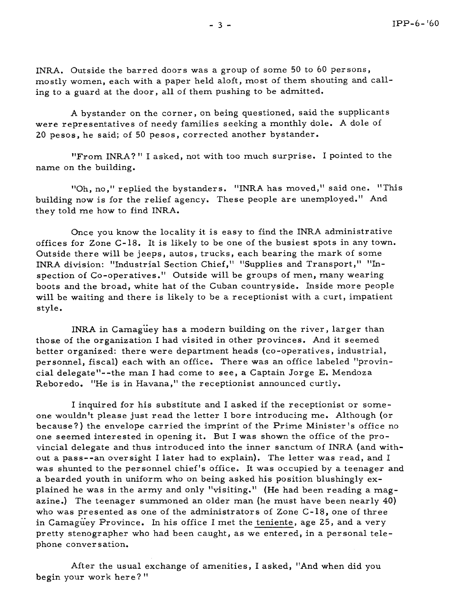INRA. Outside the barred doors was a group of some 50 to 60 persons, mostly women, each with a paper held aloft, most of them shouting and calling to a guard at the door, all of them pushing to be admitted.

**A** bystander on the corner, on being questioned, said the supplicants were representatives of needy families seeking a monthly dole. A dole of 20 pesos, he said; of 50 pesos, corrected another bystander.

"From INRA?" I asked, not with too much surprise. I pointed to the name on the building.

"Oh, no," replied the bystanders. "INRA has moved," said one. "This building now is for the relief agency. These people are unemployed." And they told me how to find INRA.

Once you know the locality it is easy to find the INRA administrative offices for Zone C- 18. It is likely to be one of the busiest spots in any town. Outside there will be jeeps, autos, trucks, each bearing the mark of some INRA division: "Industrial Section Chief," "Supplies and Transport," "Inspection of Co-operatives.'' Outside will be groups of men, many wearing boots and the broad, white hat of the Cuban countryside. Inside more people will be waiting and there is likely to be a receptionist with a curt, impatient style.

INRA in Camaguey has a modern building on the river, larger than those of the organization I had visited in other provinces. And it seemed better organized: there were department heads (co-operatives , industrial, personnel, fiscal) each with an office. There was an office labeled "provincial delegate"--the man I had come to see, a Captain Jorge E. Mendoza Rebor edo. "He is in Havana,'' the receptionist announced curtly.

I inquired for his substitute and I asked if the receptionist or someone wouldn't please just read the letter I bore introducing me. Although (or because?) the envelope carried the imprint of the Prime Minister's office no one seemed interested in opening it. But I was shown the office of the provincial delegate and thus introduced into the inner sanctum of INRA (and without a pass--an oversight I later had to explain). The letter was read, and I was shunted to the personnel chief's office. It was occupied by a teenager and a bearded youth in uniform who on being asked his position blushingly explained he was in the army and only "visiting." (He had been reading a magazine.) The teenager summoned an older man (he must have been nearly 40) who was presented as one of the administrators of Zone C-18, one of three in Camaguey Province. In his office I met the teniente, age 25, and a very pretty stenographer who had been caught, as we entered, in a personal telephone conversation.

After the usual exchange of amenities, I asked, "And when did you begin your work here?"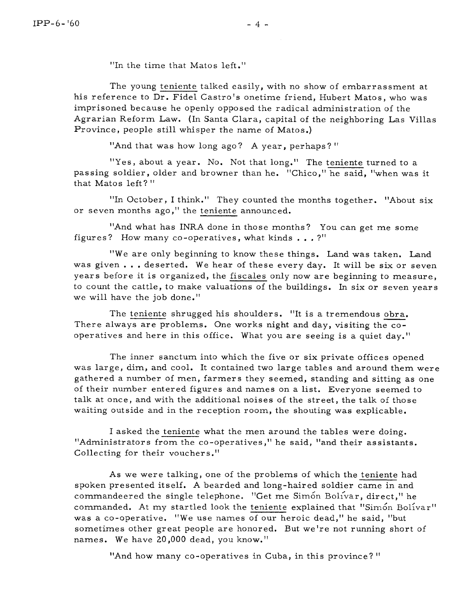"In the time that Matos left."

The young teniente talked easily, with no show of embarrassment at his reference to Dr. Fidel Castro's onetime friend, Hubert Matos, who was imprisoned because he openly opposed the radical administration of the Agrarian Reform Law. (In Santa Clara, capital of the neighboring Las Villas Province, people still whisper the name of Matos.)

"And that was how long ago? A year, perhaps?"

"Yes, about a year. No. Not that long." The teniente turned to a passing soldier, older and browner than he. "Chico," he said, "when was it that Matos left?"

"In October, I think." They counted the months together. "About six or seven months ago," the teniente announced.

"And what has INRA done in those months? You can get me some figures? How many co-operatives, what kinds  $\ldots$ ?"

"We are only beginning to know these things. Land was taken. Land We are only beginning to know these things. Land was taken. Land<br>
was given ... deserted. We hear of these every day. It will be six or seven<br>
years before it is organized, the <u>fiscales</u> only now are beginning to measure, years before it is organized, the fiscales only now are beginning to measure, to count the cattle, to make valuations of the buildings. In six or seven years we will have the job done."

There always are problems. One works night and day, visiting the cooperatives and here in this office. What you are seeing is a quiet day."

The inner sanctum into which the five or six private offices opened was large, dim, and cool. It contained two large tables and around them were gathered a number of men, farmers they seemed, standing and sitting as one of their number entered figures and names on a list. Everyone seemed to talk at once, and with the additional noises of the street, the talk of those waiting outside and in the reception room, the shouting was explicable.

I asked the teniente what the men around the tables were doing. "Administrators from the co-operatives," he said, "and their assistants. Collecting for their vouchers ."

As we were talking, one of the problems of which the teniente had spoken presented itself. A bearded and long-haired soldier came in and commandeered the single telephone. "Get me Simon Bolivar, direct," he commanded. At my startled look the teniente explained that "Simón Bolívar" was a co-operative. "We use names of our heroic dead," he said, "but sometimes other great people are honored. But we're not running short of names. We have 20,000 dead, you know."

"And how many co-operatives in Cuba, in this province? "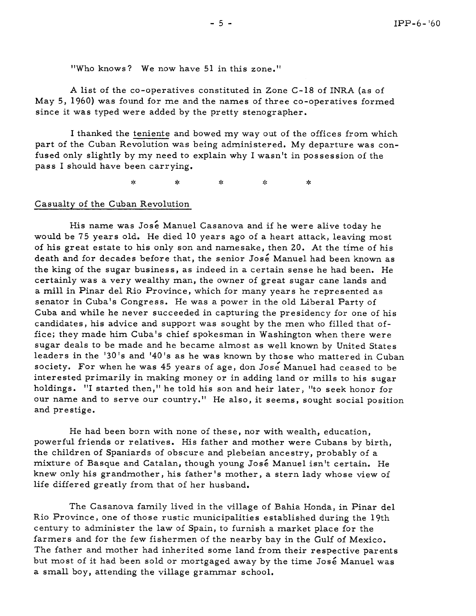"Who knows? We now have 51 in this zone."

**A** list of the co-operatives constituted in Zone C-18 of **INRA** (as of May 5, 1960) was found for me and the names of three co-operatives formed since it was typed were added by the pretty stenographer.

I thanked the teniente and bowed my way out of the offices from which part of the Cuban Revolution was being administered. My departure was confused only slightly by my need to explain why I wasn't in possession of the pass **I** should have been carrying.

> $\mathbf{x}$ ş. ż. المالو ж

## Casualty of the Cuban Revolution

His name was Jose Manuel Casanova and if he were alive today he would be 75 years old. He died 10 years ago of a heart attack, leaving most of his great estate to his only son and namesake, then 20. At the time of his death and for decades before that, the senior José Manuel had been known as the king of the sugar business, as indeed in a certain sense he had been. He certainly was a very wealthy man, the owner of great sugar cane lands and a mill in Pinar del Rio Province, which for many years he represented as senator in Cuba's Congress. He was a power in the old Liberal Party of Cuba and while he never succeeded in capturing the presidency for one of his candidates, his advice and support was sought by the men who filled that office; they made him Cuba's chief spokesman in Washington when there were sugar deals to be made and he became almost as well known by United States leaders in the '30's and '40's as he was known by those who mattered in Cuban society. For when he was 45 years of age, don Jose Manuel had ceased to be interested primarily in making money or in adding land or mills to his sugar holdings. "I started then," he told his son and heir later, "to seek honor for our name and to serve our country." He also, it seems, sought social position and prestige.

He had been born with none of these, nor with wealth, education, powerful friends or relatives. His father and mother were Cubans by birth, the children of Spaniards of obscure and plebeian ancestry, probably of a mixture of Basque and Catalan, though young Jos6 Manuel isn't certain. He knew only his grandmother, his father 's mother, a stern lady whose view of life differed greatly from that of her husband,

The Casanova family lived in the village of Bahia Honda, in Pinar del Rio Province, one of those rustic municipalities established during the 19th century to administer the law of Spain, to furnish a market place for the farmers and for the few fishermen of the nearby bay in the Gulf of Mexico. The father and mother had inherited some land from their respective parents but most of it had been sold or mortgaged away by the time José Manuel was a small boy, attending the village grammar school.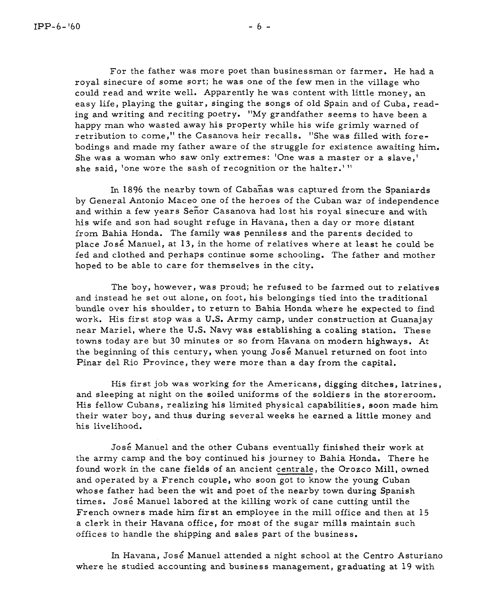For the father was more poet than businessman or farmer. He had a royal sinecure of some sort; he was one of the few men in the village who could read and write well. Apparently he was content with little money, an easy life, playing the guitar, singing the songs of old Spain and of Cuba, reading and writing and reciting poetry, "My grandfather seems to have been a happy man who wasted away his property while his wife grimly warned of retribution to come," the Casanova heir recalls. "She was filled with forebodings and made my father aware of the struggle for existence awaiting him, She was a woman who saw only extremes: 'One was a master or a slave,' she said, 'one wore the sash of recognition or the halter.'"

In 1896 the nearby town of Cabanas was captured from the Spaniards by General Antonio Maceo one of the heroes of the Cuban war of independence and within a few years Senor Casanova had lost his royal sinecure and with his wife and son had sought refuge in Havana, then a day or more distant from Bahia Honda. The family was penniless and the parents decided to place José Manuel, at 13, in the home of relatives where at least he could be fed and clothed and perhaps continue some schooling. The father and mother hoped to be able to care for themselves in the city.

The boy, however, was proud; he refused to be farmed out to relatives and instead he set out alone, on foot, his belongings tied into the traditional bundle over his shoulder, to return to Bahia Honda where he expected to find work. His first stop was a U.S. Army camp, under construction at Guanajay near Mariel, where the **U.S.** Navy was establishing a coaling station. These towns today are but 30 minutes or so from Havana on modern highways. At the beginning of this century, when young José Manuel returned on foot into Pinar del Rio Province, they were more than a day from the capital.

His first job was working for the Americans, digging ditches, latrines, and sleeping at night on the soiled uniforms of the soldiers in the storeroom. His fellow Cubans, realizing his limited physical capabilities, soon made him their water boy, and thus during several weeks he earned a little money and his livelihood.

José Manuel and the other Cubans eventually finished their work at the army camp and the boy continued his journey to Bahia Honda. There he found work in the cane fields of an ancient centrale, the Orozco Mill, owned and operated by a French couple, who soon got to know the young Cuban whose father had been the wit and poet of the nearby town during Spanish times. José Manuel labored at the killing work of cane cutting until the French owners made him first an employee in the mill office and then at 15 a clerk in their Havana office, for most of the sugar mills maintain such offices to handle the shipping and sales part of the business.

In Havana, Jose' Manuel attended a night school at the Centro Asturiano where he studied accounting and business management, graduating at 19 with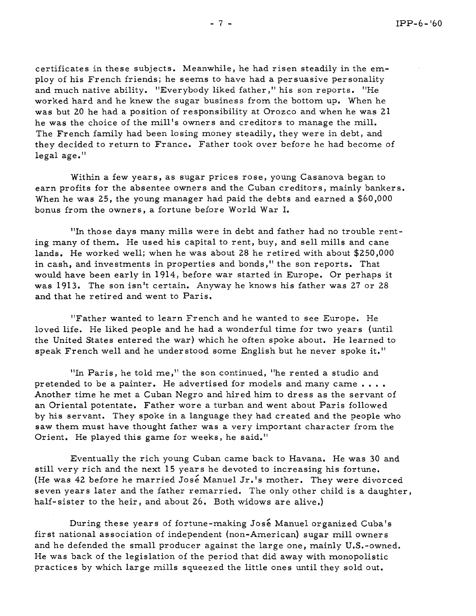certificates in these subjects. Meanwhile, he had risen steadily in the employ of his French friends; he seems to have had a persuasive personality and much native ability. "Everybody liked father ," his son reports. "He worked hard and he knew the sugar business from the bottom up. When he was but 20 he had a position of responsibility at Orozco and when he was 21 he was the choice of the mill's owners and creditors to manage the mill. The French family had been losing money steadily, they were in debt, and they decided to return to France. Father took over before he had become of legal age."

Within a few years, as sugar prices rose, young Casanova began to earn profits for the absentee owners and the Cuban creditors, mainly bankers. When he was 25, the young manager had paid the debts and earned a \$60,000 bonus from the owners, a fortune before World War I.

"In those days many mills were in debt and father had no trouble renting many of them. He used his capital to rent, buy, and sell mills and cane lands. He worked well; when he was about 28 he retired with about \$250,000 in cash, and investments in properties and bonds," the son reports. That would have been early in 1914, before war started in Europe. Or perhaps it was 1913. The son isn't certain. Anyway he knows his father was 27 or 28 and that he retired and went to Paris.

"Father wanted to learn French and he wanted to see Europe. He loved life. He liked people and he had a wonderful time for two years (until the United States entered the war) which he often spoke about. He learned to speak French well and he understood some English but he never spoke it."

"In Paris, he told me," the son continued, "he rented a studio and pretended to be a painter. He advertised for models and many came  $\dots$ .<br>Another time he met a Cuban Negro and hired him to dress as the servant of an Oriental potentate. Father wore a turban and went about Paris followed by his servant. They spoke in a language they had created and the people who saw them must have thought father was a very important character from the Orient. He played this game for weeks, he said."

Eventually the rich young Cuban came back to Havana. He was 30 and still very rich and the next 15 years he devoted to increasing his fortune. (He was 42 before he married José Manuel Jr.'s mother. They were divorced seven years later and the father remarried. The only other child is a daughter, half- sister to the heir, and about 26. Both widows are alive.)

During these years of fortune-making José Manuel organized Cuba's fir st national association of independent (non-American) sugar mill owners and he defended the small producer against the large one, mainly U.S.-owned. He was back of the legislation of the period that did away with monopolistic practices by which large mills squeezed the little ones until they sold out.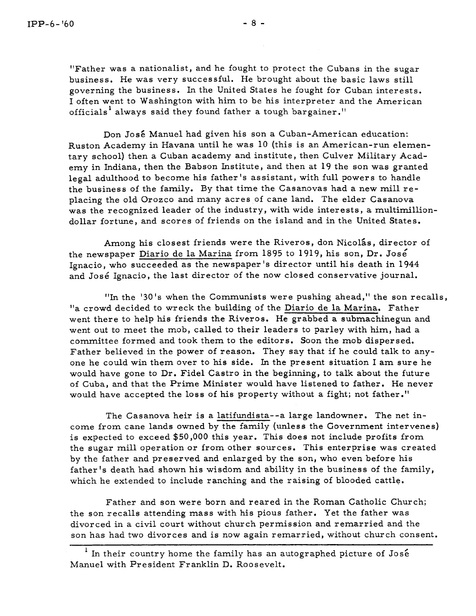"Father was a nationalist, and he fought to protect the Cubans in the sugar business. He was very successful. He brought about the basic laws still governing the business. In the United States he fought for Cuban interests. I often went to Washington with him to be his interpreter and the American officials<sup>1</sup> always said they found father a tough bargainer."

Don Jos6 Manuel had given his son a Cuban-American education: Ruston Academy in Havana until he was 10 (this is an American-run elementary school) then a Cuban academy and institute, then Culver Military Academy in Indiana, then the Babson Institute, and then at 19 the son was granted legal adulthood to become his father's assistant, with full powers to handle the business of the family. By that time the Casanovas had a new mill replacing the old Orozco and many acres of cane land. The elder Casanova was the recognized leader of the industry, with wide interests, a multimilliondollar fortune, and scores of friends on the island and in the United States.

Among his closest friends were the Riveros, don Nicolás, director of the newspaper Diario de la Marina from 1895 to 1919, his son, Dr. José Ignacio, who succeeded as the newspaper's director until his death in 1944 and José Ignacio, the last director of the now closed conservative journal.

"In the '30's when the Communists were pushing ahead," the son recalls, "a crowd decided to wreck the building of the Diario de la Marina. Father went there to help his friends the Riveros. He grabbed a submachinegun and went out to meet the mob, called to their leaders to parley with him, had a committee formed and took them to the editors. Soon the mob dispersed. Father believed in the power of reason. They say that if he could talk to anyone he could win them over to his side. In the present situation I am sure he would have gone to Dr. Fidel Castro in the beginning, to talk about the future of Cuba, and that the Prime Minister would have listened to father, He never would have accepted the loss of his property without a fight; not father."

The Casanova heir is a latifundista--a large landowner. The net income from cane lands owned by the family (unless the Government intervenes) is expected to exceed \$50,000 this year. This does not include profits from the sugar mill operation or from other sources. This enterprise was created by the father and preserved and enlarged by the son, who even before his father's death had shown his wisdom and ability in the business of the family, which he extended to include ranching and the raising of blooded cattle.

Father and son were born and reared in the Roman Catholic Church; the son recalls attending mass with his pious father, Yet the father was divorced in a civil court without church permission and remarried and the son has had two divorces and is now again remarried, without church consent.

 $1$  In their country home the family has an autographed picture of José Manuel with President Franklin D. Roosevelt.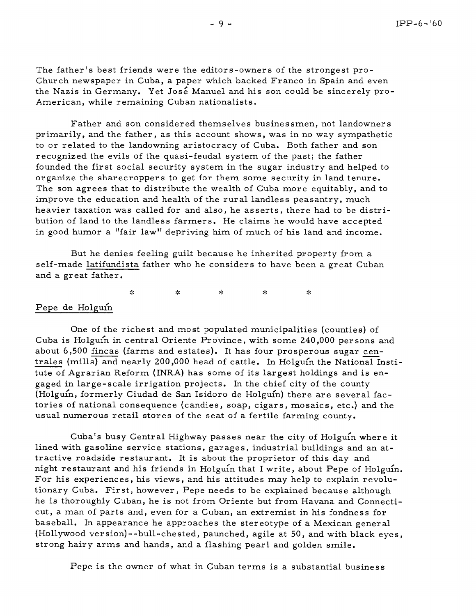The father's best friends were the editors-owners of the strongest pro-Church newspaper in Cuba, a paper which backed Franco in Spain and even the Nazis in Germany. Yet José Manuel and his son could be sincerely pro-American, while remaining Cuban nationalists.

Father and son considered themselves businessmen, not landowners primarily, and the father, as this account shows, was in no way sympathetic to or related to the landowning aristocracy of Cuba. Both father and son recognized the evils of the quasi-feudal system of the past; the father founded the first social security system in the sugar industry and helped to organize the sharecroppers to get for them some security in land tenure. The son agrees that to distribute the wealth of Cuba more equitably, and to improve the education and health of the rural landless peasantry, much heavier taxation was called for and also, he asserts, there had to be distribution of land to the landless farmers. He claims he would have accepted in good humor a "fair law" depriving him of much of his land and income.

But he denies feeling guilt because he inherited property from a self-made latifundista father who he considers to have been a great Cuban and a great father.

> $\mathcal{A}_\mathcal{K}$ sic.  $\frac{1}{2}$ У¢.  $\mathbf{x}_i^{\mathsf{I}}$

## Pepe de Holguin

One of the richest and most populated municipalities (counties) of Cuba is Holguin in central Oriente Province, with some 240,000 persons and Tepe de Holguin<br>
One of the richest and most populated municipalities (counties) of<br>
Cuba is Holguín in central Oriente Province, with some 240,000 persons and<br>
about 6,500 <u>fincas</u> (farms and estates). It has four prosper tute of Agrarian Reform (INRA) has some of its largest holdings and is engaged in large-scale irrigation projects. In the chief city of the county (Holguin, formerly Ciudad de San Isidoro de Holguin) there are several factories of national consequence (candies, soap, cigars, mosaics, etc.) and the usual numerous retail stores of the seat of a fertile farming county.

Cuba's busy Central Highway passes near the city of Holguin where it lined with gasoline service stations, garages, industrial buildings and an attractive roadside restaurant. It is about the proprietor of this day and night restaurant and his friends in Holguin that I write, about Pepe of Holguin. For his experiences, his views, and his attitudes may help to explain revolutionary Cuba. First, however, Pepe needs to be explained because although he is thoroughly Cuban, he is not from Oriente but from Havana and Connecticut, a man of parts and, even for a Cuban, an extremist in his fondness for baseball. In appearance he approaches the stereotype of a Mexican general (Hollywood version)--bull-chested, paunched, agile at 50, and with black eyes, strong hairy arms and hands, and a flashing pearl and golden smile.

Pepe is the owner of what in Cuban terms is a substantial business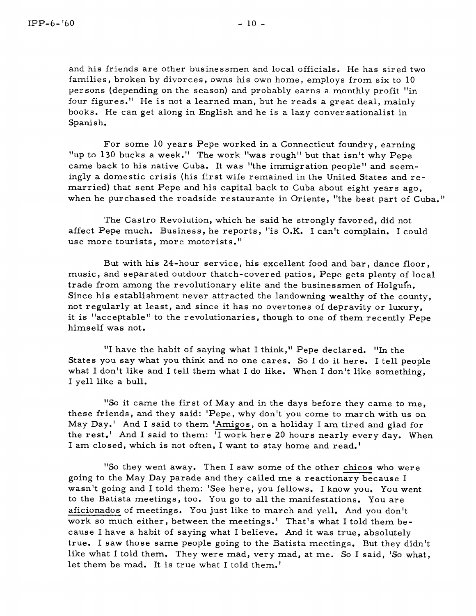For some 10 years Pepe worked in a Connecticut foundry, earning "up to 130 bucks a week." The work "was rough" but that isn't why Pepe came back to his native Cuba. It was "the immigration people" and seemingly a domestic crisis (his first wife remained in the United States and remarried) that sent Pepe and his capital back to Cuba about eight years ago, when he purchased the roadside restaurante in Oriente, "the best part of Cuba."

The Castro Revolution, which he said he strongly favored, did not affect Pepe much. Business, he reports, "is O.K. I can't complain. I could use more tourists, more motorists."

But with his 24-hour service, his excellent food and bar, dance floor, music, and separated outdoor thatch-covered patios, Pepe gets plenty of local trade from among the revolutionary elite and the businessmen of Holguin. Since his establishment never attracted the landowning wealthy of the county, not regularly at least, and since it has no overtones of depravity or luxury, it is "acceptable" to the revolutionaries, though to one of them recently Pepe himself was not.

"I have the habit of saying what I think," Pepe declared. "In the States you say what you think and no one cares. So I do it here. I tell people what I don't like and I tell them what I do like. When I don't like something, I yell like a bull.

"So it came the first of May and in the days before they came to me, these friends, and they said: 'Pepe, why don't you come to march with us on May Day.' And I said to them 'Amigos, on a holiday I am tired and glad for the rest.' And I said to them: 'I work here 20 hours nearly every day. When I am closed, which is not often, I want to stay home and read.'

"So they went away. Then I saw some of the other chicos who were going to the May Day parade and they called me a reactionary because I wasn't going and I told them: 'See here, you fellows. I know you. You went to the Batista meetings, too. You go to all the manifestations. You are aficionados of meetings. You just like to march and yell. And you don't work so much either, between the meetings.' That's what I told them because I have a habit of saying what I believe. And it was true, absolutely true. I saw those same people going to the Batista meetings. But they didn't like what I told them. They were mad, very mad, at me. So I said, 'So what, let them be mad. It is true what I told them.'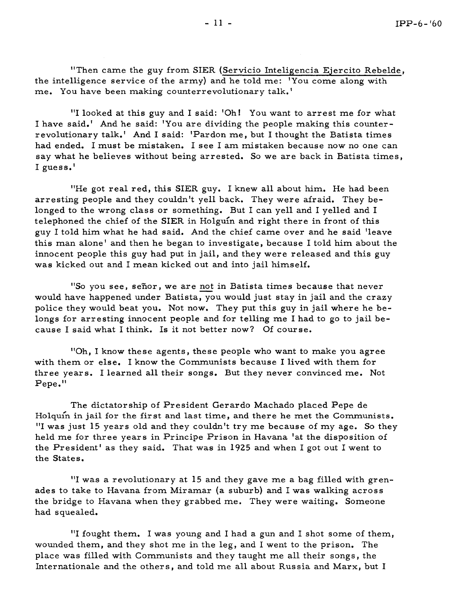"Then came the guy from SIER (Servicio Inteligencia Ejercito Rebelde, the intelligence service of the army) and he told me: 'You come along with me. You have been making counterrevolutionary talk.'

"I looked at this guy and I said: 'Oh! You want to arrest me for what I have said.' And he said: 'You are dividing the people making this counterrevolutionary talk.' And I said: 'Pardon me, but I thought the Batista times had ended. I must be mistaken. I see I am mistaken because now no one can say what he believes without being arrested. So we are back in Batista times, I guess.'

"He got real red, this SIER guy. I knew all about him. He had been arresting people and they couldn't yell back. They were afraid. They belonged to the wrong class or something. But I can yell and I yelled and I telephoned the chief of the SIER in Holguin and right there in front of this guy I told him what he had said. And the chief came over and he said 'leave this man alone' and then he began to investigate, because I told him about the innocent people this guy had put in jail, and they were released and this guy was kicked out and I mean kicked out and into jail himself.

mocent people this guy had put in jail, and they were released and this guy<br>was kicked out and I mean kicked out and into jail himself.<br>"So you see, señor, we are <u>not</u> in Batista times because that never<br>would have happen police they would beat you. Not now, They put this guy in jail where he belongs for arresting innocent people and for telling me I had to go to jail because I said what I think. Is it not better now? Of course.

"Oh, I know these agents, these people who want to make you agree with them or else. I know the Communists because I lived with them for three years. I learned all their songs. But they never convinced me. Not  $Pepe.$ "

The dictatorship of President Gerardo Machado placed Pepe de Holquin in jail for the first and last time, and there he met the Communists. "I was just 15 years old and they couldn't try me because of my age. So they held me for three years in Principe Prison in Havana 'at the disposition of the President' as they said. That was in 1925 and when I got out I went to the States.

"I was a revolutionary at 15 and they gave me a bag filled with grenades to take to Havana from Miramar (a suburb) and I was walking across the bridge to Havana when they grabbed me. They were waiting. Someone had squealed.

"I fought them. I was young and I had a gun and I shot some of them, wounded them, and they shot me in the leg, and I went to the prison. The place was filled with Communists and they taught me all their songs, the Internationale and the others, and told me all about Russia and Marx, but I